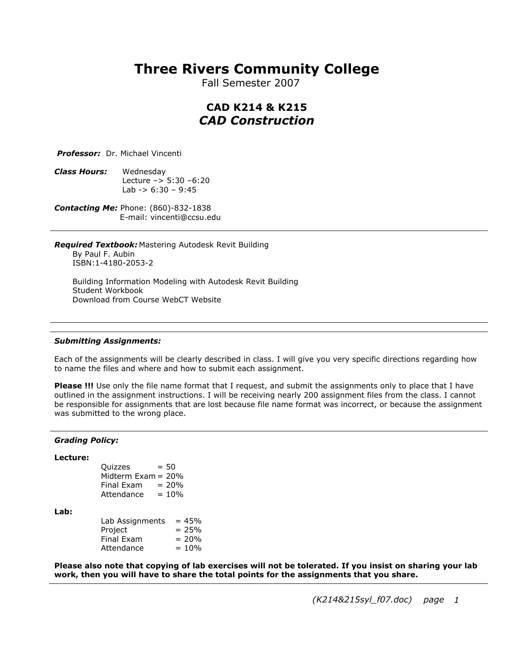# **Three Rivers Community College**

Fall Semester 2007

# **CAD K214 & K215** *CAD Construction*

*Professor:* Dr. Michael Vincenti

*Class Hours:* Wednesday Lecture  $-$  5:30  $-6:20$ Lab  $-$  > 6:30 - 9:45

*Contacting Me:* Phone: (860)-832-1838 E-mail: vincenti@ccsu.edu

*Required Textbook:* Mastering Autodesk Revit Building By Paul F. Aubin ISBN:1-4180-2053-2

Building Information Modeling with Autodesk Revit Building Student Workbook Download from Course WebCT Website

## *Submitting Assignments:*

Each of the assignments will be clearly described in class. I will give you very specific directions regarding how to name the files and where and how to submit each assignment.

**Please !!!** Use only the file name format that I request, and submit the assignments only to place that I have outlined in the assignment instructions. I will be receiving nearly 200 assignment files from the class. I cannot be responsible for assignments that are lost because file name format was incorrect, or because the assignment was submitted to the wrong place.

#### *Grading Policy:*

### **Lecture:**

| Quizzes               | $= 50$   |
|-----------------------|----------|
| Midterm $Exam = 20\%$ |          |
| Final Exam            | $= 20\%$ |
| Attendance            | $= 10%$  |

**Lab:**

| Lab Assignments   | $= 45%$  |
|-------------------|----------|
| Project           | $= 25%$  |
| <b>Final Exam</b> | $= 20%$  |
| Attendance        | $= 10\%$ |

**Please also note that copying of lab exercises will not be tolerated. If you insist on sharing your lab work, then you will have to share the total points for the assignments that you share.**